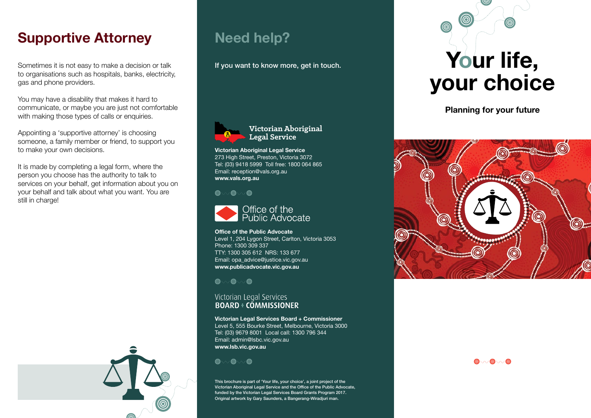### **Supportive Attorney**

Sometimes it is not easy to make a decision or talk to organisations such as hospitals, banks, electricity, gas and phone providers.

You may have a disability that makes it hard to communicate, or maybe you are just not comfortable with making those types of calls or enquiries.

Appointing a 'supportive attorney' is choosing someone, a family member or friend, to support you to make your own decisions.

It is made by completing a legal form, where the person you choose has the authority to talk to services on your behalf, get information about you on your behalf and talk about what you want. You are still in charge!





**Victorian Aboriginal Legal Service**

**Victorian Aboriginal Legal Service** 273 High Street, Preston, Victoria 3072 Tel: (03) 9418 5999 Toll free: 1800 064 865 Email: reception@vals.org.au **www.vals.org.au**

**Need help?**

**@** . . @ . . @



**Office of the Public Advocate** Level 1, 204 Lygon Street, Carlton, Victoria 3053 Phone: 1300 309 337 TTY: 1300 305 612 NRS: 133 677 Email: opa\_advice@justice.vic.gov.au **www.publicadvocate.vic.gov.au**

**@** . . @ . . @

# Victorian Legal Services<br>BOARD + COMMISSIONER

**Victorian Legal Services Board + Commissioner** Level 5, 555 Bourke Street, Melbourne, Victoria 3000 Tel: (03) 9679 8001 Local call: 1300 796 344 Email: admin@lsbc.vic.gov.au **www.lsb.vic.gov.au**

© . . © . . . ©

This brochure is part of 'Your life, your choice', a joint project of the Victorian Aboriginal Legal Service and the Office of the Public Advocate, funded by the Victorian Legal Services Board Grants Program 2017. Original artwork by Gary Saunders, a Bangerang-Wiradjuri man.

**Your life, your choice**

**Planning for your future**



 $\textcircled{\tiny\bullet}$  .  $\textcircled{\tiny\bullet}$